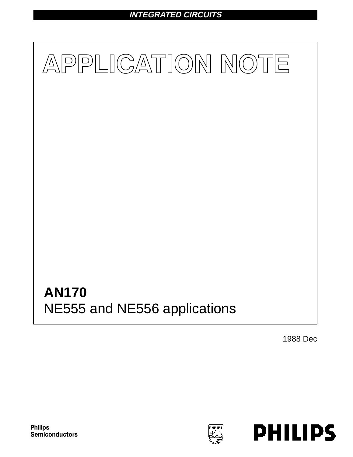# **INTEGRATED CIRCUITS**



1988 Dec



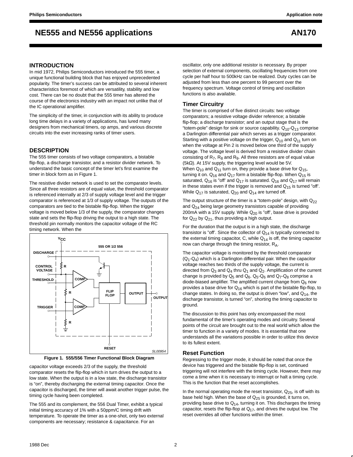### **INTRODUCTION**

In mid 1972, Philips Semiconductors introduced the 555 timer, a unique functional building block that has enjoyed unprecedented popularity. The timer's success can be attributed to several inherent characteristics foremost of which are versatility, stability and low cost. There can be no doubt that the 555 timer has altered the course of the electronics industry with an impact not unlike that of the IC operational amplifier.

The simplicity of the timer, in conjunction with its ability to produce long time delays in a variety of applications, has lured many designers from mechanical timers, op amps, and various discrete circuits into the ever increasing ranks of timer users.

#### **DESCRIPTION**

The 555 timer consists of two voltage comparators, a bistable flip-flop, a discharge transistor, and a resistor divider network. To understand the basic concept of the timer let's first examine the timer in block form as in Figure 1.

The resistive divider network is used to set the comparator levels. Since all three resistors are of equal value, the threshold comparator is referenced internally at 2/3 of supply voltage level and the trigger comparator is referenced at 1/3 of supply voltage. The outputs of the comparators are tied to the bistable flip-flop. When the trigger voltage is moved below 1/3 of the supply, the comparator changes state and sets the flip-flop driving the output to a high state. The threshold pin normally monitors the capacitor voltage of the RC timing network. When the



**Figure 1. 555/556 Timer Functional Block Diagram**

capacitor voltage exceeds 2/3 of the supply, the threshold comparator resets the flip-flop which in turn drives the output to a low state. When the output is in a low state, the discharge transistor is "on", thereby discharging the external timing capacitor. Once the capacitor is discharged, the timer will await another trigger pulse, the timing cycle having been completed.

The 555 and its complement, the 556 Dual Timer, exhibit a typical initial timing accuracy of 1% with a 50ppm/C timing drift with temperature. To operate the timer as a one-shot, only two external components are necessary; resistance & capacitance. For an

oscillator, only one additional resistor is necessary. By proper selection of external components, oscillating frequencies from one cycle per half hour to 500kHz can be realized. Duty cycles can be adjusted from less than one percent to 99 percent over the frequency spectrum. Voltage control of timing and oscillation functions is also available.

#### **Timer Circuitry**

The timer is comprised of five distinct circuits: two voltage comparators; a resistive voltage divider reference; a bistable flip-flop; a discharge transistor; and an output stage that is the "totem-pole" design for sink or source capability.  $Q_{10}$ - $Q_{13}$  comprise a Darlington differential pair which serves as a trigger comparator. Starting with a positive voltage on the trigger,  $Q_{10}$  and  $Q_{11}$  turn on when the voltage at Pin 2 is moved below one third of the supply voltage. The voltage level is derived from a resistive divider chain consisting of  $R_7$ ,  $R_8$  and  $R_9$ . All three resistors are of equal value (5kΩ). At 15V supply, the triggering level would be 5V. When  $Q_{10}$  and  $Q_{11}$  turn on, they provide a base drive for  $Q_{15}$ , turning it on.  $Q_{16}$  and  $Q_{17}$  form a bistable flip-flop. When  $Q_{15}$  is saturated,  $Q_{16}$  is "off' and  $Q_{17}$  is saturated.  $Q_{16}$  and  $Q_{17}$  will remain in these states even if the trigger is removed and  $Q_{15}$  is turned "off'. While  $Q_{17}$  is saturated,  $Q_{20}$  and  $Q_{14}$  are turned off.

The output structure of the timer is a "totem-pole" design, with  $Q_{22}$ and Q<sub>24</sub> being large geometry transistors capable of providing 200mA with a 15V supply. While  $Q_{20}$  is "off", base drive is provided for  $Q_{22}$  by  $Q_{21}$ , thus providing a high output.

For the duration that the output is in a high state, the discharge transistor is "off'. Since the collector of  $Q_{14}$  is typically connected to the external timing capacitor, C, while  $Q_{14}$  is off, the timing capacitor now can charge through the timing resistor, RA.

The capacitor voltage is monitored by the threshold comparator  $(Q_1-Q_4)$  which is a Darlington differential pair. When the capacitor voltage reaches two thirds of the supply voltage, the current is directed from  $Q_3$  and  $Q_4$  thru  $Q_1$  and  $Q_2$ . Amplification of the current change is provided by  $Q_5$  and  $Q_6$ .  $Q_5$ - $Q_6$  and  $Q_7$ - $Q_8$  comprise a diode-biased amplifier. The amplified current change from  $Q_6$  now provides a base drive for  $Q_{16}$  which is part of the bistable flip-flop, to change states. In doing so, the output is driven "low", and  $Q_{14}$ , the discharge transistor, is turned "on", shorting the timing capacitor to ground.

The discussion to this point has only encompassed the most fundamental of the timer's operating modes and circuitry. Several points of the circuit are brought out to the real world which allow the timer to function in a variety of modes. It is essential that one understands all the variations possible in order to utilize this device to its fullest extent.

### **Reset Function**

Regressing to the trigger mode, it should be noted that once the device has triggered and the bistable flip-flop is set, continued triggering will not interfere with the timing cycle. However, there may come a time when it is necessary to interrupt or halt a timing cycle. This is the function that the reset accomplishes.

In the normal operating mode the reset transistor,  $Q_{25}$ , is off with its base held high. When the base of  $Q_{25}$  is grounded, it turns on, providing base drive to  $Q_{14}$ , turning it on. This discharges the timing capacitor, resets the flip-flop at  $Q_{17}$ , and drives the output low. The reset overrides all other functions within the timer.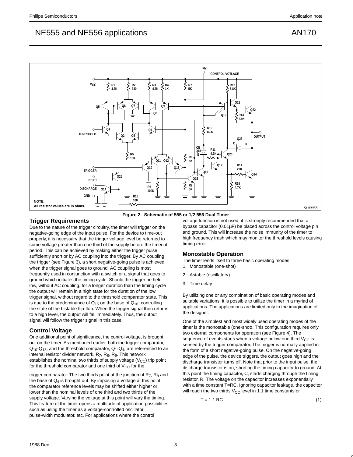



**Figure 2. Schematic of 555 or 1/2 556 Dual Timer**

### **Trigger Requirements**

Due to the nature of the trigger circuitry, the timer will trigger on the negative-going edge of the input pulse. For the device to time-out properly, it is necessary that the trigger voltage level be returned to some voltage greater than one third of the supply before the timeout period. This can be achieved by making either the trigger pulse sufficiently short or by AC coupling into the trigger. By AC coupling the trigger (see Figure 3), a short negative-going pulse is achieved when the trigger signal goes to ground. AC coupling is most frequently used in conjunction with a switch or a signal that goes to ground which initiates the timing cycle. Should the trigger be held low, without AC coupling, for a longer duration than the timing cycle the output will remain in a high state for the duration of the low trigger signal, without regard to the threshold comparator state. This is due to the predominance of  $Q_{15}$  on the base of  $Q_{16}$ , controlling the state of the bistable flip-flop. When the trigger signal then returns to a high level, the output will fall immediately. Thus, the output signal will follow the trigger signal in this case.

## **Control Voltage**

One additional point of significance, the control voltage, is brought out on the timer. As mentioned earlier, both the trigger comparator,  $Q_{10}$ - $Q_{13}$ , and the threshold comparator,  $Q_1$ - $Q_4$ , are referenced to an internal resistor divider network,  $R_7$ ,  $R_8$ ,  $R_9$ . This network establishes the nominal two thirds of supply voltage  $(V_{CC})$  trip point for the threshold comparator and one third of  $V_{CC}$  for the

trigger comparator. The two thirds point at the junction of  $R_7$ ,  $R_8$  and the base of  $Q_4$  is brought out. By imposing a voltage at this point, the comparator reference levels may be shifted either higher or lower than the nominal levels of one third and two thirds of the supply voltage. Varying the voltage at this point will vary the timing. This feature of the timer opens a multitude of application possibilities such as using the timer as a voltage-controlled oscillator, pulse-width modulator, etc. For applications where the control

voltage function is not used, it is strongly recommended that a bypass capacitor (0.01µF) be placed across the control voltage pin and ground. This will increase the noise immunity of the timer to high frequency trash which may monitor the threshold levels causing timing error.

## **Monostable Operation**

The timer lends itself to three basic operating modes:

- 1. Monostable (one-shot)
- 2. Astable (oscillatory)
- 3. Time delay

By utilizing one or any combination of basic operating modes and suitable variations, it is possible to utilize the timer in a myriad of applications. The applications are limited only to the imagination of the designer.

One of the simplest and most widely used operating modes of the timer is the monostable (one-shot). This configuration requires only two external components for operation (see Figure 4). The sequence of events starts when a voltage below one third  $V_{CC}$  is sensed by the trigger comparator. The trigger is normally applied in the form of a short negative-going pulse. On the negative-going edge of the pulse, the device triggers, the output goes high and the discharge transistor turns off. Note that prior to the input pulse, the discharge transistor is on, shorting the timing capacitor to ground. At this point the timing capacitor, C, starts charging through the timing resistor, R. The voltage on the capacitor increases exponentially with a time constant T=RC. Ignoring capacitor leakage, the capacitor will reach the two thirds  $V_{CC}$  level in 1.1 time constants or

 $T = 1.1 \text{ RC}$  (1)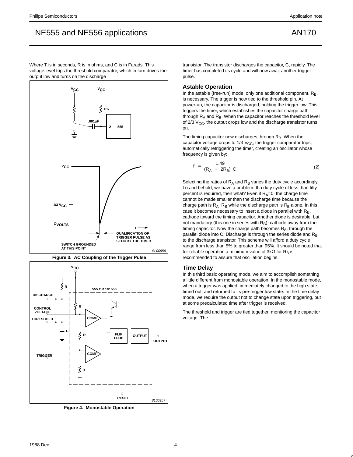Where T is in seconds, R is in ohms, and C is in Farads. This voltage level trips the threshold comparator, which in turn drives the output low and turns on the discharge



**Figure 3. AC Coupling of the Trigger Pulse**



**Figure 4. Monostable Operation**

transistor. The transistor discharges the capacitor, C, rapidly. The timer has completed its cycle and will now await another trigger pulse.

### **Astable Operation**

In the astable (free-run) mode, only one additional component,  $R_B$ , is necessary. The trigger is now tied to the threshold pin. At power-up, the capacitor is discharged, holding the trigger low. This triggers the timer, which establishes the capacitor charge path through  $R_A$  and  $R_B$ . When the capacitor reaches the threshold level of  $2/3$  V<sub>CC</sub>, the output drops low and the discharge transistor turns on.

The timing capacitor now discharges through RB. When the capacitor voltage drops to  $1/3$  V<sub>CC</sub>, the trigger comparator trips, automatically retriggering the timer, creating an oscillator whose frequency is given by:

$$
f = \frac{1.49}{(R_A + 2R_B) C}
$$
 (2)

Selecting the ratios of  $R_A$  and  $R_B$  varies the duty cycle accordingly. Lo and behold, we have a problem. If a duty cycle of less than fifty percent is required, then what? Even if  $R_A=0$ , the charge time cannot be made smaller than the discharge time because the charge path is  $R_A+R_B$  while the discharge path is  $R_B$  alone. In this case it becomes necessary to insert a diode in parallel with  $R_B$ , cathode toward the timing capacitor. Another diode is desirable, but not mandatory (this one in series with  $R_B$ ), cathode away from the timing capacitor. Now the charge path becomes  $R_A$ , through the parallel diode into C. Discharge is through the series diode and  $R_B$ to the discharge transistor. This scheme will afford a duty cycle range from less than 5% to greater than 95%. It should be noted that for reliable operation a minimum value of  $3k\Omega$  for R<sub>B</sub> is recommended to assure that oscillation begins.

#### **Time Delay**

In this third basic operating mode, we aim to accomplish something a little different from monostable operation. In the monostable mode, when a trigger was applied, immediately changed to the high state, timed out, and returned to its pre-trigger low state. In the time delay mode, we require the output not to change state upon triggering, but at some precalculated time after trigger is received.

The threshold and trigger are tied together, monitoring the capacitor voltage. The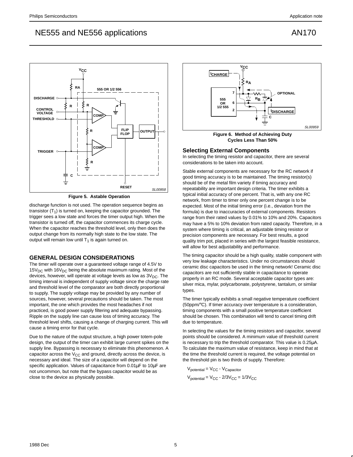

**Figure 5. Astable Operation**

discharge function is not used. The operation sequence begins as transistor  $(T_1)$  is turned on, keeping the capacitor grounded. The trigger sees a low state and forces the timer output high. When the transistor is turned off, the capacitor commences its charge cycle. When the capacitor reaches the threshold level, only then does the output change from its normally high state to the low state. The output will remain low until  $T_1$  is again turned on.

# **GENERAL DESIGN CONSIDERATIONS**

The timer will operate over a guaranteed voltage range of 4.5V to  $15V_{DC}$  with  $16V_{DC}$  being the absolute maximum rating. Most of the devices, however, will operate at voltage levels as low as  $3V<sub>DC</sub>$ . The timing interval is independent of supply voltage since the charge rate and threshold level of the comparator are both directly proportional to supply. The supply voltage may be provided by any number of sources, however, several precautions should be taken. The most important, the one which provides the most headaches if not practiced, is good power supply filtering and adequate bypassing. Ripple on the supply line can cause loss of timing accuracy. The threshold level shifts, causing a change of charging current. This will cause a timing error for that cycle.

Due to the nature of the output structure, a high power totem-pole design, the output of the timer can exhibit large current spikes on the supply line. Bypassing is necessary to eliminate this phenomenon. A capacitor across the  $V_{CC}$  and ground, directly across the device, is necessary and ideal. The size of a capacitor will depend on the specific application. Values of capacitance from 0.01µF to 10µF are not uncommon, but note that the bypass capacitor would be as close to the device as physically possible.



**Figure 6. Method of Achieving Duty Cycles Less Than 50%**

### **Selecting External Components**

In selecting the timing resistor and capacitor, there are several considerations to be taken into account.

Stable external components are necessary for the RC network if good timing accuracy is to be maintained. The timing resistor(s) should be of the metal film variety if timing accuracy and repeatability are important design criteria. The timer exhibits a typical initial accuracy of one percent. That is, with any one RC network, from timer to timer only one percent change is to be expected. Most of the initial timing error (i.e., deviation from the formula) is due to inaccuracies of external components. Resistors range from their rated values by 0.01% to 10% and 20%. Capacitors may have a 5% to 10% deviation from rated capacity. Therefore, in a system where timing is critical, an adjustable timing resistor or precision components are necessary. For best results, a good quality trim pot, placed in series with the largest feasible resistance, will allow for best adjustability and performance.

The timing capacitor should be a high quality, stable component with very low leakage characteristics. Under no circumstances should ceramic disc capacitors be used in the timing network! Ceramic disc capacitors are not sufficiently stable in capacitance to operate properly in an RC mode. Several acceptable capacitor types are: silver mica, mylar, polycarbonate, polystyrene, tantalum, or similar types.

The timer typically exhibits a small negative temperature coefficient (50ppm/°C). If timer accuracy over temperature is a consideration, timing components with a small positive temperature coefficient should be chosen. This combination will tend to cancel timing drift due to temperature.

In selecting the values for the timing resistors and capacitor, several points should be considered. A minimum value of threshold current is necessary to trip the threshold comparator. This value is 0.25µA. To calculate the maximum value of resistance, keep in mind that at the time the threshold current is required, the voltage potential on the threshold pin is two thirds of supply. Therefore:

 $V_{potential} = V_{CC} - V_{Capacitor}$  $V_{\text{potential}} = V_{\text{CC}} - 2/3V_{\text{CC}} = 1/3V_{\text{CC}}$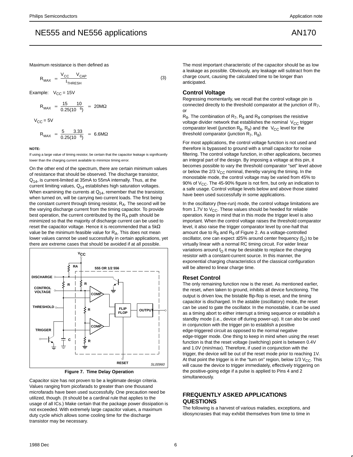Maximum resistance is then defined as

$$
R_{MAX} = \frac{V_{CC} - V_{CAP}}{I_{THEEH}}
$$

Example:  $V_{CC} = 15V$ 

$$
R_{MAX} = \frac{15}{0.25(10^{-6})} = 20 M\Omega
$$

 $V_{CC} = 5V$ 

$$
R_{MAX} = \frac{5}{0.25(10^{-6})} = 6.6 M\Omega
$$

#### **NOTE:**

If using a large value of timing resistor, be certain that the capacitor leakage is significantly lower than the charging current available to minimize timing error.

On the other end of the spectrum, there are certain minimum values of resistance that should be observed. The discharge transistor, Q<sub>14</sub>, is current-limited at 35mA to 55mA internally. Thus, at the current limiting values,  $Q_{14}$  establishes high saturation voltages. When examining the currents at  $Q_{14}$ , remember that the transistor, when turned on, will be carrying two current loads. The first being the constant current through timing resistor,  $R_A$ . The second will be the varying discharge current from the timing capacitor. To provide best operation, the current contributed by the  $R_A$  path should be minimized so that the majority of discharge current can be used to reset the capacitor voltage. Hence it is recommended that a 5kΩ value be the minimum feasible value for  $R_A$ . This does not mean lower values cannot be used successfully in certain applications, yet there are extreme cases that should be avoided if at all possible.



**Figure 7. Time Delay Operation**

Capacitor size has not proven to be a legitimate design criteria. Values ranging from picofarads to greater than one thousand microfarads have been used successfully. One precaution need be utilized, though. (It should be a cardinal rule that applies to the usage of all ICs.) Make certain that the package power dissipation is not exceeded. With extremely large capacitor values, a maximum duty cycle which allows some cooling time for the discharge transistor may be necessary.

The most important characteristic of the capacitor should be as low a leakage as possible. Obviously, any leakage will subtract from the charge count, causing the calculated time to be longer than anticipated.

#### **Control Voltage**

(3)

Regressing momentarily, we recall that the control voltage pin is connected directly to the threshold comparator at the junction of  $R_7$ , or

 $R_8$ . The combination of  $R_7$ ,  $R_8$  and  $R_9$  comprises the resistive voltage divider network that establishes the nominal  $V_{CC}$  trigger comparator level (junction  $R_8$ ,  $R_9$ ) and the  $V_{CC}$  level for the threshold comparator (junction  $R_7$ ,  $R_8$ ).

For most applications, the control voltage function is not used and therefore is bypassed to ground with a small capacitor for noise filtering. The control voltage function, in other applications, becomes an integral part of the design. By imposing a voltage at this pin, it becomes possible to vary the threshold comparator "set" level above or below the  $2/3$  V<sub>CC</sub> nominal, thereby varying the timing. In the monostable mode, the control voltage may be varied from 45% to 90% of  $V_{CC}$ . The 45-90% figure is not firm, but only an indication to a safe usage. Control voltage levels below and above those stated have been used successfully in some applications.

In the oscillatory (free-run) mode, the control voltage limitations are from 1.7V to  $V_{CC}$ . These values should be heeded for reliable operation. Keep in mind that in this mode the trigger level is also important. When the control voltage raises the threshold comparator level, it also raise the trigger comparator level by one-half that amount due to  $R_8$  and  $R_9$  of Figure 2. As a voltage-controlled oscillator, one can expect  $\pm 25\%$  around center frequency ( $f<sub>O</sub>$ ) to be virtually linear with a normal RC timing circuit. For wider linear variations around  $f<sub>O</sub>$  it may be desirable to replace the charging resistor with a constant-current source. In this manner, the exponential charging characteristics of the classical configuration will be altered to linear charge time.

#### **Reset Control**

The only remaining function now is the reset. As mentioned earlier, the reset, when taken to ground, inhibits all device functioning. The output is driven low, the bistable flip-flop is reset, and the timing capacitor is discharged. In the astable (oscillatory) mode, the reset can be used to gate the oscillator. In the monostable, it can be used as a timing abort to either interrupt a timing sequence or establish a standby mode (i.e., device off during power-up). It can also be used in conjunction with the trigger pin to establish a positive edge-triggered circuit as opposed to the normal negative edge-trigger mode. One thing to keep in mind when using the reset function is that the reset voltage (switching) point is between 0.4V and 1.0V (min/max). Therefore, if used in conjunction with the trigger, the device will be out of the reset mode prior to reaching 1V. At that point the trigger is in the "turn on" region, below  $1/3$  V<sub>CC</sub>. This will cause the device to trigger immediately, effectively triggering on the positive-going edge if a pulse is applied to Pins 4 and 2 simultaneously.

## **FREQUENTLY ASKED APPLICATIONS QUESTIONS**

The following is a harvest of various maladies, exceptions, and idiosyncrasies that may exhibit themselves from time to time in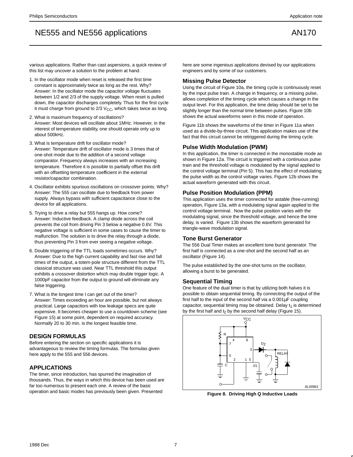various applications. Rather than cast aspersions, a quick review of this list may uncover a solution to the problem at hand.

- 1. In the oscillator mode when reset is released the first time constant is approximately twice as long as the rest. Why? Answer: In the oscillator mode the capacitor voltage fluctuates between 1/2 and 2/3 of the supply voltage. When reset is pulled down, the capacitor discharges completely. Thus for the first cycle it must charge from ground to  $2/3$   $V_{CC}$ , which takes twice as long.
- 2. What is maximum frequency of oscillations? Answer: Most devices will oscillate about 1MHz. However, in the interest of temperature stability, one should operate only up to about 500kHz.
- 3. What is temperature drift for oscillator mode? Answer: Temperature drift of oscillator mode is 3 times that of one-shot mode due to the addition of a second voltage comparator. Frequency always increases with an increasing temperature. Therefore it is possible to partially offset this drift with an offsetting temperature coefficient in the external resistor/capacitor combination.
- 4. Oscillator exhibits spurious oscillations on crossover points. Why? Answer: The 555 can oscillate due to feedback from power supply. Always bypass with sufficient capacitance close to the device for all applications.
- 5. Trying to drive a relay but 555 hangs up. How come? Answer: Inductive feedback. A clamp diode across the coil prevents the coil from driving Pin 3 below a negative 0.6V. This negative voltage is sufficient in some cases to cause the timer to malfunction. The solution is to drive the relay through a diode, thus preventing Pin 3 from ever seeing a negative voltage.
- 6. Double triggering of the TTL loads sometimes occurs. Why? Answer: Due to the high current capability and fast rise and fall times of the output, a totem-pole structure different from the TTL classical structure was used. Near TTL threshold this output exhibits a crossover distortion which may double trigger logic. A 1000pF capacitor from the output to ground will eliminate any false triggering.
- 7. What is the longest time I can get out of the timer? Answer: Times exceeding an hour are possible, but not always practical. Large capacitors with low leakage specs are quite expensive. It becomes cheaper to use a countdown scheme (see Figure 15) at some point, dependent on required accuracy. Normally 20 to 30 min. is the longest feasible time.

## **DESIGN FORMULAS**

Before entering the section on specific applications it is advantageous to review the timing formulas. The formulas given here apply to the 555 and 556 devices.

### **APPLICATIONS**

The timer, since introduction, has spurred the imagination of thousands. Thus, the ways in which this device has been used are far too numerous to present each one. A review of the basic operation and basic modes has previously been given. Presented

here are some ingenious applications devised by our applications engineers and by some of our customers.

### **Missing Pulse Detector**

Using the circuit of Figure 10a, the timing cycle is continuously reset by the input pulse train. A change in frequency, or a missing pulse, allows completion of the timing cycle which causes a change in the output level. For this application, the time delay should be set to be slightly longer than the normal time between pulses. Figure 10b shows the actual waveforms seen in this mode of operation.

Figure 11b shows the waveforms of the timer in Figure 11a when used as a divide-by-three circuit. This application makes use of the fact that this circuit cannot be retriggered during the timing cycle.

### **Pulse Width Modulation (PWM)**

In this application, the timer is connected in the monostable mode as shown in Figure 12a. The circuit is triggered with a continuous pulse train and the threshold voltage is modulated by the signal applied to the control voltage terminal (Pin 5). This has the effect of modulating the pulse width as the control voltage varies. Figure 12b shows the actual waveform generated with this circuit.

### **Pulse Position Modulation (PPM)**

This application uses the timer connected for astable (free-running) operation, Figure 13a, with a modulating signal again applied to the control voltage terminal. Now the pulse position varies with the modulating signal, since the threshold voltage, and hence the time delay, is varied. Figure 13b shows the waveform generated for triangle-wave modulation signal.

### **Tone Burst Generator**

The 556 Dual Timer makes an excellent tone burst generator. The first half is connected as a one-shot and the second half as an oscillator (Figure 14).

The pulse established by the one-shot turns on the oscillator, allowing a burst to be generated.

### **Sequential Timing**

One feature of the dual timer is that by utilizing both halves it is possible to obtain sequential timing. By connecting the output of the first half to the input of the second half via a 0.001µF coupling capacitor, sequential timing may be obtained. Delay  $t_1$  is determined by the first half and  $t_2$  by the second half delay (Figure 15).



**Figure 8. Driving High Q Inductive Loads**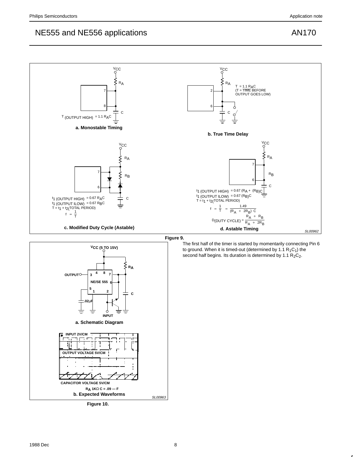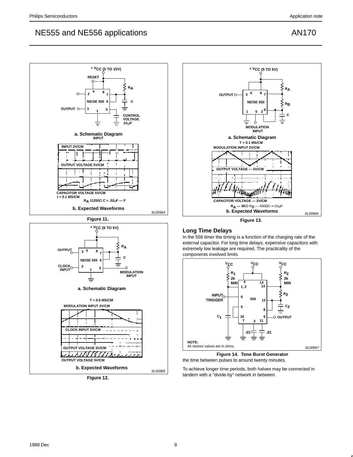



**Figure 12.** 



**Figure 13.** 

# **Long Time Delays**

In the 556 timer the timing is a function of the charging rate of the external capacitor. For long time delays, expensive capacitors with extremely low leakage are required. The practicality of the components involved limits



**Figure 14. Tone Burst Generator** the time between pulses to around twenty minutes.

To achieve longer time periods, both halves may be connected in tandem with a "divide-by" network in between.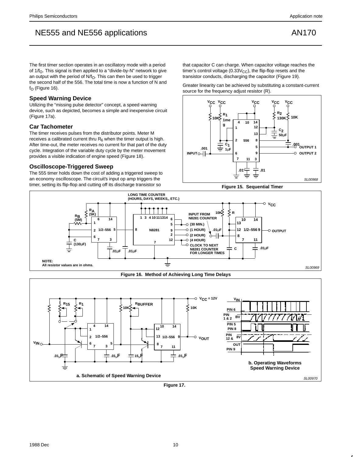The first timer section operates in an oscillatory mode with a period of  $1/f<sub>O</sub>$ . This signal is then applied to a "divide-by-N" network to give an output with the period of  $N/f<sub>O</sub>$ . This can then be used to trigger the second half of the 556. The total time is now a function of N and  $f_{\Omega}$  (Figure 16).

### **Speed Warning Device**

Utilizing the "missing pulse detector" concept, a speed warning device, such as depicted, becomes a simple and inexpensive circuit (Figure 17a).

### **Car Tachometer**

The timer receives pulses from the distributor points. Meter M receives a calibrated current thru  $R_6$  when the timer output is high. After time-out, the meter receives no current for that part of the duty cycle. Integration of the variable duty cycle by the meter movement provides a visible indication of engine speed (Figure 18).

### **Oscilloscope-Triggered Sweep**

The 555 timer holds down the cost of adding a triggered sweep to an economy oscilloscope. The circuit's input op amp triggers the timer, setting its flip-flop and cutting off its discharge transistor so

that capacitor C can charge. When capacitor voltage reaches the timer's control voltage ( $0.33V_{CC}$ ), the flip-flop resets and the transistor conducts, discharging the capacitor (Figure 19).

Greater linearity can be achieved by substituting a constant-current source for the frequency adjust resistor (R).









**Figure 17.**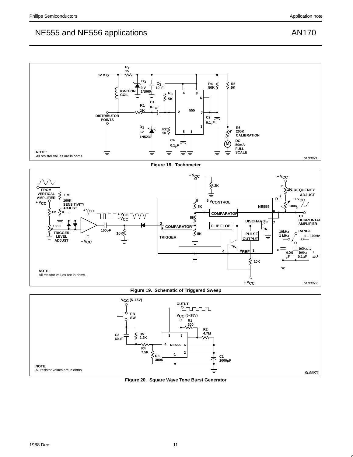

**Figure 20. Square Wave Tone Burst Generator**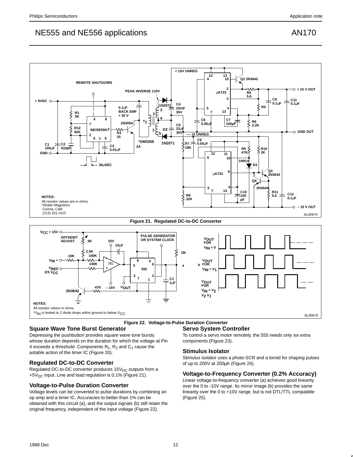

#### **Figure 22. Voltage-to-Pulse Duration Converter**

## **Square Wave Tone Burst Generator**

Depressing the pushbutton provides square wave tone bursts whose duration depends on the duration for which the voltage at Pin 4 exceeds a threshold. Components  $R_1$ ,  $R_2$  and  $C_1$  cause the astable action of the timer IC (Figure 20).

## **Regulated DC-to-DC Converter**

Regulated DC-to-DC converter produces  $15V<sub>DC</sub>$  outputs from a +5V<sub>DC</sub> input. Line and load regulation is 0.1% (Figure 21).

## **Voltage-to-Pulse Duration Converter**

Voltage levels can be converted to pulse durations by combining an op amp and a timer IC. Accuracies to better than 1% can be obtained with this circuit (a), and the output signals (b) still retain the original frequency, independent of the input voltage (Figure 22).

# **Servo System Controller**

To control a servo motor remotely, the 555 needs only six extra components (Figure 23).

#### **Stimulus Isolator**

Stimulus isolator uses a photo-SCR and a toroid for shaping pulses of up to 200V at 200µA (Figure 24).

#### **Voltage-to-Frequency Converter (0.2% Accuracy)**

Linear voltage-to-frequency converter (a) achieves good linearity over the 0 to -10V range. Its mirror image (b) provides the same linearity over the 0 to +10V range, but is not DTL/TTL compatible (Figure 25).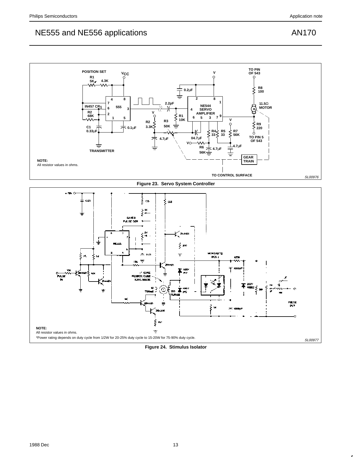

**Figure 24. Stimulus Isolator**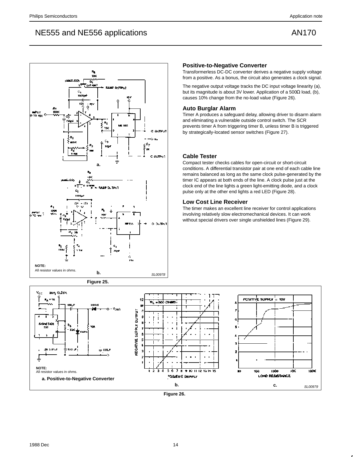

# **Positive-to-Negative Converter**

Transformerless DC-DC converter derives a negative supply voltage from a positive. As a bonus, the circuit also generates a clock signal.

The negative output voltage tracks the DC input voltage linearity (a), but its magnitude is about 3V lower. Application of a 500Ω load, (b), causes 10% change from the no-load value (Figure 26).

## **Auto Burglar Alarm**

Timer A produces a safeguard delay, allowing driver to disarm alarm and eliminating a vulnerable outside control switch. The SCR prevents timer A from triggering timer B, unless timer B is triggered by strategically-located sensor switches (Figure 27).

# **Cable Tester**

Compact tester checks cables for open-circuit or short-circuit conditions. A differential transistor pair at one end of each cable line remains balanced as long as the same clock pulse-generated by the timer IC appears at both ends of the line. A clock pulse just at the clock end of the line lights a green light-emitting diode, and a clock pulse only at the other end lights a red LED (Figure 28).

# **Low Cost Line Receiver**

The timer makes an excellent line receiver for control applications involving relatively slow electromechanical devices. It can work without special drivers over single unshielded lines (Figure 29).



**Figure 26.**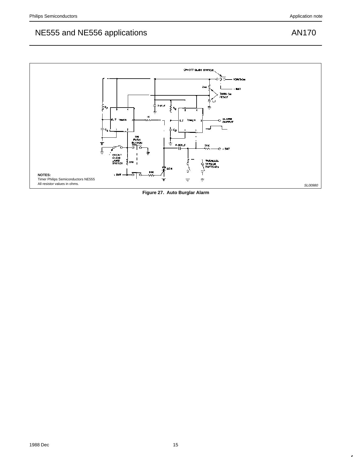

**Figure 27. Auto Burglar Alarm**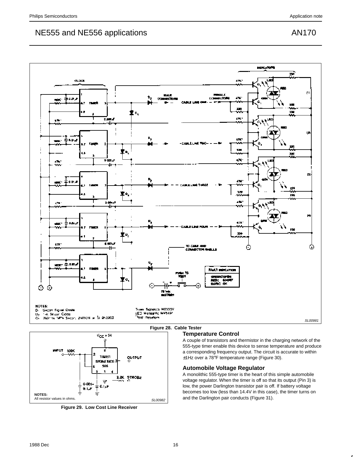



**Figure 29. Low Cost Line Receiver**

# **Temperature Control**

A couple of transistors and thermistor in the charging network of the 555-type timer enable this device to sense temperature and produce a corresponding frequency output. The circuit is accurate to within ±1Hz over a 78°F temperature range (Figure 30).

# **Automobile Voltage Regulator**

A monolithic 555-type timer is the heart of this simple automobile voltage regulator. When the timer is off so that its output (Pin 3) is low, the power Darlington transistor pair is off. If battery voltage becomes too low (less than 14.4V in this case), the timer turns on and the Darlington pair conducts (Figure 31).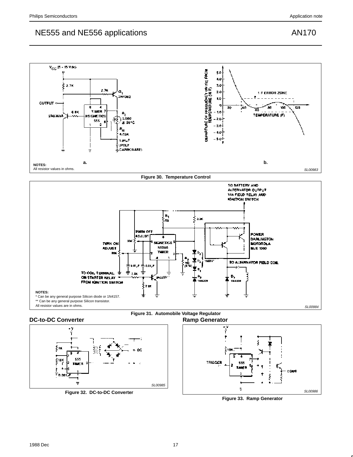

**Figure 30. Temperature Control**









**Figure 32. DC-to-DC Converter**



**Figure 33. Ramp Generator**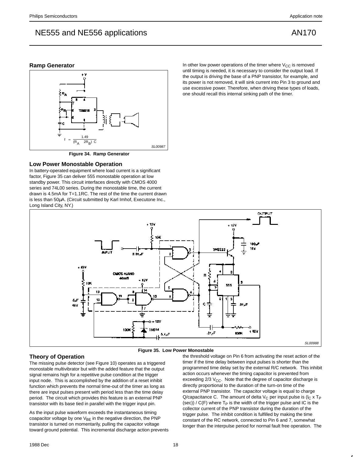## **Ramp Generator**



**Figure 34. Ramp Generator**

#### **Low Power Monostable Operation**

In battery-operated equipment where load current is a significant factor, Figure 35 can deliver 555 monostable operation at low standby power. This circuit interfaces directly with CMOS 4000 series and 74L00 series. During the monostable time, the current drawn is 4.5mA for T=1.1RC. The rest of the time the current drawn is less than 50µA. (Circuit submitted by Karl Imhof, Executone Inc., Long Island City, NY.)





## **Theory of Operation**

The missing pulse detector (see Figure 10) operates as a triggered monostable multivibrator but with the added feature that the output signal remains high for a repetitive pulse condition at the trigger input node. This is accomplished by the addition of a reset inhibit function which prevents the normal time-out of the timer as long as there are input pulses present with period less than the time delay period. The circuit which provides this feature is an external PNP transistor with its base tied in parallel with the trigger input pin.

As the input pulse waveform exceeds the instantaneous timing coapacitor voltage by one  $V_{BE}$  in the negative direction, the PNP transistor is turned on momentarily, pulling the capacitor voltage toward ground potential. This incremental discharge action prevents the threshold voltage on Pin 6 from activating the reset action of the timer if the time delay between input pulses is shorter than the programmed time delay set by the external R/C network. This inhibit action occurs whenever the timing capacitor is prevented from exceeding  $2/3$  V<sub>CC</sub>. Note that the degree of capacitor discharge is directly proportional to the duration of the turn-on time of the external PNP transistor. The capacitor voltage is equal to charge Q/capacitance C. The amount of delta  $V_C$  per input pulse is ( $I_C$  x T<sub>P</sub> (sec))  $/$  C(F) where  $T_P$  is the width of the trigger pulse and IC is the collector current of the PNP transistor during the duration of the trigger pulse. The inhibit condition is fulfilled by making the time constant of the RC network, connected to Pin 6 and 7, somewhat longer than the interpulse period for normal fault free operation. The

In other low power operations of the timer where  $V_{CC}$  is removed until timing is needed, it is necessary to consider the output load. If the output is driving the base of a PNP transistor, for example, and its power is not removed, it will sink current into Pin 3 to ground and use excessive power. Therefore, when driving these types of loads, one should recall this internal sinking path of the timer.